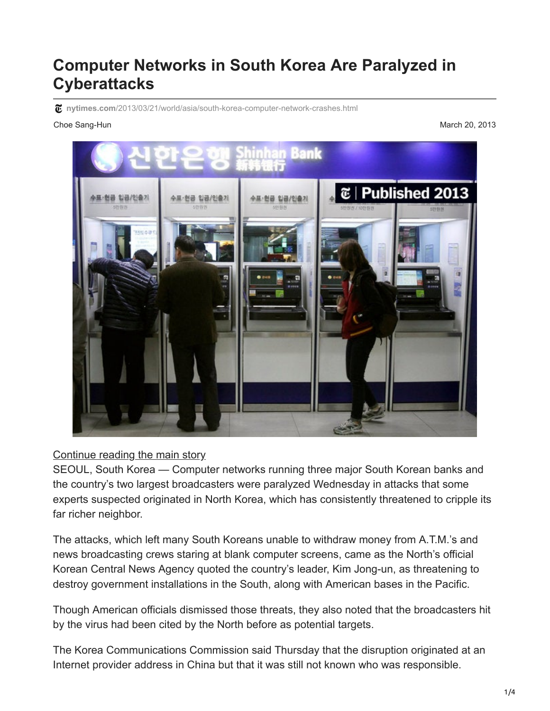## **Computer Networks in South Korea Are Paralyzed in Cyberattacks**

**nytimes.com**[/2013/03/21/world/asia/south-korea-computer-network-crashes.html](https://www.nytimes.com/2013/03/21/world/asia/south-korea-computer-network-crashes.html)

## Choe Sang-Hun March 20, 2013



## Continue reading the main story

SEOUL, South Korea — Computer networks running three major South Korean banks and the country's two largest broadcasters were paralyzed Wednesday in attacks that some experts suspected originated in North Korea, which has consistently threatened to cripple its far richer neighbor.

The attacks, which left many South Koreans unable to withdraw money from A.T.M.'s and news broadcasting crews staring at blank computer screens, came as the North's official Korean Central News Agency quoted the country's leader, Kim Jong-un, as threatening to destroy government installations in the South, along with American bases in the Pacific.

Though American officials dismissed those threats, they also noted that the broadcasters hit by the virus had been cited by the North before as potential targets.

The Korea Communications Commission said Thursday that the disruption originated at an Internet provider address in China but that it was still not known who was responsible.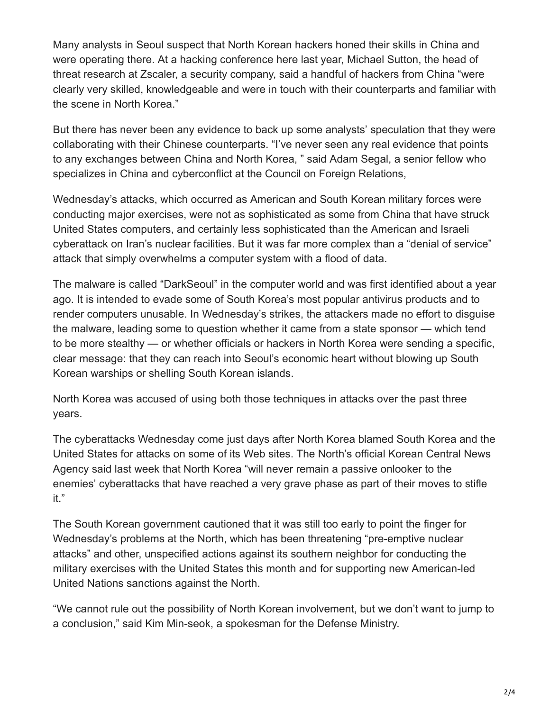Many analysts in Seoul suspect that North Korean hackers honed their skills in China and were operating there. At a hacking conference here last year, Michael Sutton, the head of threat research at Zscaler, a security company, said a handful of hackers from China "were clearly very skilled, knowledgeable and were in touch with their counterparts and familiar with the scene in North Korea."

But there has never been any evidence to back up some analysts' speculation that they were collaborating with their Chinese counterparts. "I've never seen any real evidence that points to any exchanges between China and North Korea, " said Adam Segal, a senior fellow who specializes in China and cyberconflict at the Council on Foreign Relations,

Wednesday's attacks, which occurred as American and South Korean military forces were conducting major exercises, were not as sophisticated as some from China that have struck United States computers, and certainly less sophisticated than the American and Israeli cyberattack on Iran's nuclear facilities. But it was far more complex than a "denial of service" attack that simply overwhelms a computer system with a flood of data.

The malware is called "DarkSeoul" in the computer world and was first identified about a year ago. It is intended to evade some of South Korea's most popular antivirus products and to render computers unusable. In Wednesday's strikes, the attackers made no effort to disguise the malware, leading some to question whether it came from a state sponsor — which tend to be more stealthy — or whether officials or hackers in North Korea were sending a specific, clear message: that they can reach into Seoul's economic heart without blowing up South Korean warships or shelling South Korean islands.

North Korea was accused of using both those techniques in attacks over the past three years.

The cyberattacks Wednesday come just days after North Korea blamed South Korea and the United States for attacks on some of its Web sites. The North's official Korean Central News Agency said last week that North Korea "will never remain a passive onlooker to the enemies' cyberattacks that have reached a very grave phase as part of their moves to stifle it."

The South Korean government cautioned that it was still too early to point the finger for Wednesday's problems at the North, which has been threatening "pre-emptive nuclear attacks" and other, unspecified actions against its southern neighbor for conducting the military exercises with the United States this month and for supporting new American-led United Nations sanctions against the North.

"We cannot rule out the possibility of North Korean involvement, but we don't want to jump to a conclusion," said Kim Min-seok, a spokesman for the Defense Ministry.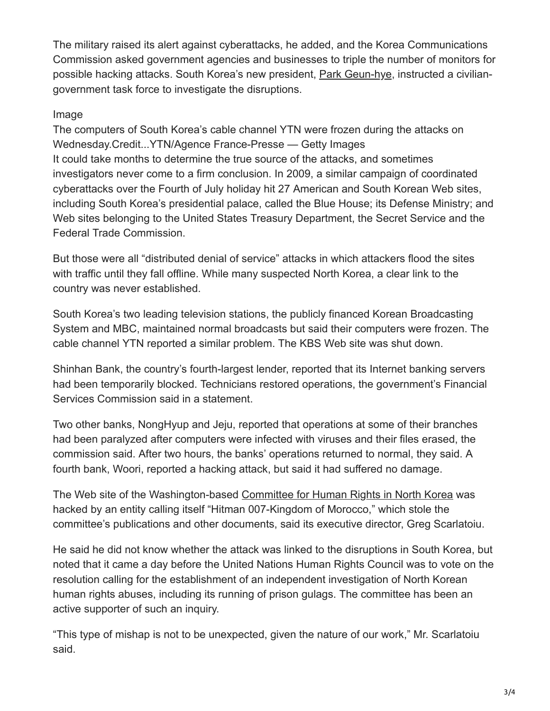The military raised its alert against cyberattacks, he added, and the Korea Communications Commission asked government agencies and businesses to triple the number of monitors for possible hacking attacks. South Korea's new president, [Park Geun-hye](http://topics.nytimes.com/top/reference/timestopics/people/p/park_geunhye/index.html?8qa), instructed a civiliangovernment task force to investigate the disruptions.

## Image

The computers of South Korea's cable channel YTN were frozen during the attacks on Wednesday.Credit...YTN/Agence France-Presse — Getty Images It could take months to determine the true source of the attacks, and sometimes investigators never come to a firm conclusion. In 2009, a similar campaign of coordinated cyberattacks over the Fourth of July holiday hit 27 American and South Korean Web sites, including South Korea's presidential palace, called the Blue House; its Defense Ministry; and Web sites belonging to the United States Treasury Department, the Secret Service and the Federal Trade Commission.

But those were all "distributed denial of service" attacks in which attackers flood the sites with traffic until they fall offline. While many suspected North Korea, a clear link to the country was never established.

South Korea's two leading television stations, the publicly financed Korean Broadcasting System and MBC, maintained normal broadcasts but said their computers were frozen. The cable channel YTN reported a similar problem. The KBS Web site was shut down.

Shinhan Bank, the country's fourth-largest lender, reported that its Internet banking servers had been temporarily blocked. Technicians restored operations, the government's Financial Services Commission said in a statement.

Two other banks, NongHyup and Jeju, reported that operations at some of their branches had been paralyzed after computers were infected with viruses and their files erased, the commission said. After two hours, the banks' operations returned to normal, they said. A fourth bank, Woori, reported a hacking attack, but said it had suffered no damage.

The Web site of the Washington-based [Committee for Human Rights in North Korea](http://www.hrnk.org/) was hacked by an entity calling itself "Hitman 007-Kingdom of Morocco," which stole the committee's publications and other documents, said its executive director, Greg Scarlatoiu.

He said he did not know whether the attack was linked to the disruptions in South Korea, but noted that it came a day before the United Nations Human Rights Council was to vote on the resolution calling for the establishment of an independent investigation of North Korean human rights abuses, including its running of prison gulags. The committee has been an active supporter of such an inquiry.

"This type of mishap is not to be unexpected, given the nature of our work," Mr. Scarlatoiu said.